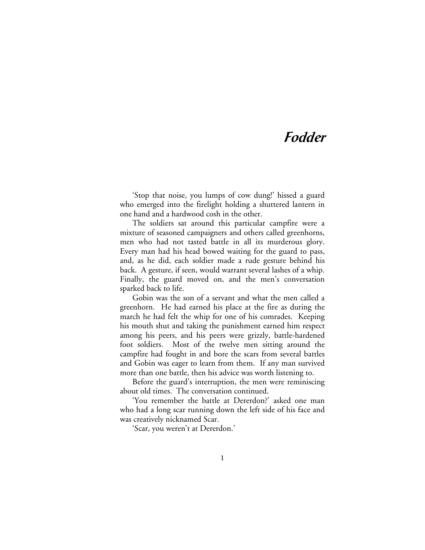# **Fodder**

'Stop that noise, you lumps of cow dung!' hissed a guard who emerged into the firelight holding a shuttered lantern in one hand and a hardwood cosh in the other.

The soldiers sat around this particular campfire were a mixture of seasoned campaigners and others called greenhorns, men who had not tasted battle in all its murderous glory. Every man had his head bowed waiting for the guard to pass, and, as he did, each soldier made a rude gesture behind his back. A gesture, if seen, would warrant several lashes of a whip. Finally, the guard moved on, and the men's conversation sparked back to life.

Gobin was the son of a servant and what the men called a greenhorn. He had earned his place at the fire as during the march he had felt the whip for one of his comrades. Keeping his mouth shut and taking the punishment earned him respect among his peers, and his peers were grizzly, battle-hardened foot soldiers. Most of the twelve men sitting around the campfire had fought in and bore the scars from several battles and Gobin was eager to learn from them. If any man survived more than one battle, then his advice was worth listening to.

Before the guard's interruption, the men were reminiscing about old times. The conversation continued.

'You remember the battle at Dererdon?' asked one man who had a long scar running down the left side of his face and was creatively nicknamed Scar.

'Scar, you weren't at Dererdon.'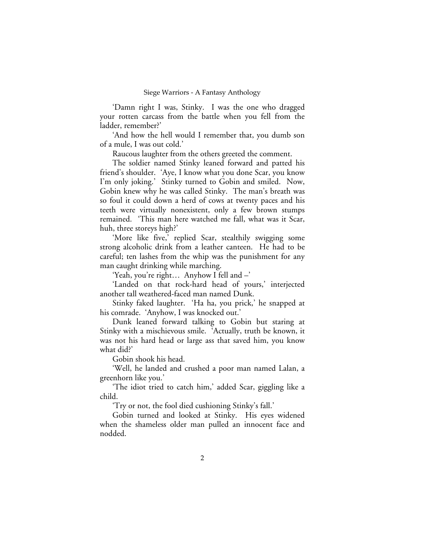'Damn right I was, Stinky. I was the one who dragged your rotten carcass from the battle when you fell from the ladder, remember?'

'And how the hell would I remember that, you dumb son of a mule, I was out cold.'

Raucous laughter from the others greeted the comment.

The soldier named Stinky leaned forward and patted his friend's shoulder. 'Aye, I know what you done Scar, you know I'm only joking.' Stinky turned to Gobin and smiled. Now, Gobin knew why he was called Stinky. The man's breath was so foul it could down a herd of cows at twenty paces and his teeth were virtually nonexistent, only a few brown stumps remained. 'This man here watched me fall, what was it Scar, huh, three storeys high?'

'More like five,' replied Scar, stealthily swigging some strong alcoholic drink from a leather canteen. He had to be careful; ten lashes from the whip was the punishment for any man caught drinking while marching.

'Yeah, you're right… Anyhow I fell and –'

'Landed on that rock-hard head of yours,' interjected another tall weathered-faced man named Dunk.

Stinky faked laughter. 'Ha ha, you prick,' he snapped at his comrade. 'Anyhow, I was knocked out.'

Dunk leaned forward talking to Gobin but staring at Stinky with a mischievous smile. 'Actually, truth be known, it was not his hard head or large ass that saved him, you know what did?'

Gobin shook his head.

'Well, he landed and crushed a poor man named Lalan, a greenhorn like you.'

'The idiot tried to catch him,' added Scar, giggling like a child.

'Try or not, the fool died cushioning Stinky's fall.'

Gobin turned and looked at Stinky. His eyes widened when the shameless older man pulled an innocent face and nodded.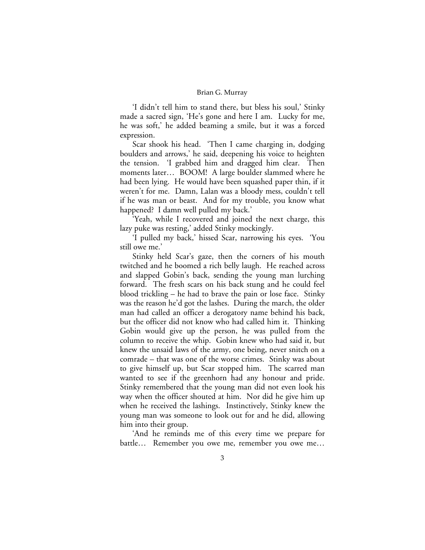'I didn't tell him to stand there, but bless his soul,' Stinky made a sacred sign, 'He's gone and here I am. Lucky for me, he was soft,' he added beaming a smile, but it was a forced expression.

Scar shook his head. 'Then I came charging in, dodging boulders and arrows,' he said, deepening his voice to heighten the tension. 'I grabbed him and dragged him clear. Then moments later… BOOM! A large boulder slammed where he had been lying. He would have been squashed paper thin, if it weren't for me. Damn, Lalan was a bloody mess, couldn't tell if he was man or beast. And for my trouble, you know what happened? I damn well pulled my back.'

'Yeah, while I recovered and joined the next charge, this lazy puke was resting,' added Stinky mockingly.

'I pulled my back,' hissed Scar, narrowing his eyes. 'You still owe me.'

Stinky held Scar's gaze, then the corners of his mouth twitched and he boomed a rich belly laugh. He reached across and slapped Gobin's back, sending the young man lurching forward. The fresh scars on his back stung and he could feel blood trickling – he had to brave the pain or lose face. Stinky was the reason he'd got the lashes. During the march, the older man had called an officer a derogatory name behind his back, but the officer did not know who had called him it. Thinking Gobin would give up the person, he was pulled from the column to receive the whip. Gobin knew who had said it, but knew the unsaid laws of the army, one being, never snitch on a comrade – that was one of the worse crimes. Stinky was about to give himself up, but Scar stopped him. The scarred man wanted to see if the greenhorn had any honour and pride. Stinky remembered that the young man did not even look his way when the officer shouted at him. Nor did he give him up when he received the lashings. Instinctively, Stinky knew the young man was someone to look out for and he did, allowing him into their group.

'And he reminds me of this every time we prepare for battle… Remember you owe me, remember you owe me…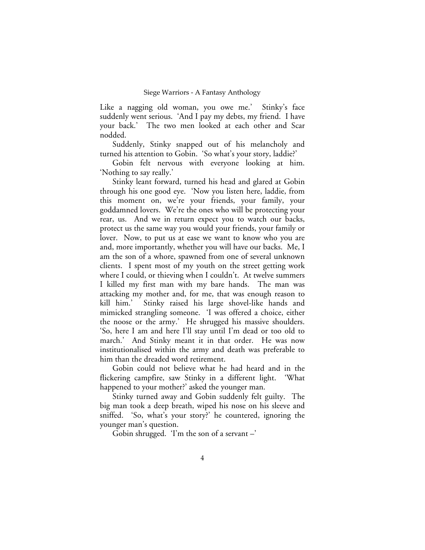Like a nagging old woman, you owe me.' Stinky's face suddenly went serious. 'And I pay my debts, my friend. I have your back.' The two men looked at each other and Scar nodded.

Suddenly, Stinky snapped out of his melancholy and turned his attention to Gobin. 'So what's your story, laddie?'

Gobin felt nervous with everyone looking at him. 'Nothing to say really.'

Stinky leant forward, turned his head and glared at Gobin through his one good eye. 'Now you listen here, laddie, from this moment on, we're your friends, your family, your goddamned lovers. We're the ones who will be protecting your rear, us. And we in return expect you to watch our backs, protect us the same way you would your friends, your family or lover. Now, to put us at ease we want to know who you are and, more importantly, whether you will have our backs. Me, I am the son of a whore, spawned from one of several unknown clients. I spent most of my youth on the street getting work where I could, or thieving when I couldn't. At twelve summers I killed my first man with my bare hands. The man was attacking my mother and, for me, that was enough reason to kill him.' Stinky raised his large shovel-like hands and mimicked strangling someone. 'I was offered a choice, either the noose or the army.' He shrugged his massive shoulders. 'So, here I am and here I'll stay until I'm dead or too old to march.' And Stinky meant it in that order. He was now institutionalised within the army and death was preferable to him than the dreaded word retirement.

Gobin could not believe what he had heard and in the flickering campfire, saw Stinky in a different light. 'What happened to your mother?' asked the younger man.

Stinky turned away and Gobin suddenly felt guilty. The big man took a deep breath, wiped his nose on his sleeve and sniffed. 'So, what's your story?' he countered, ignoring the younger man's question.

Gobin shrugged. 'I'm the son of a servant  $-$ '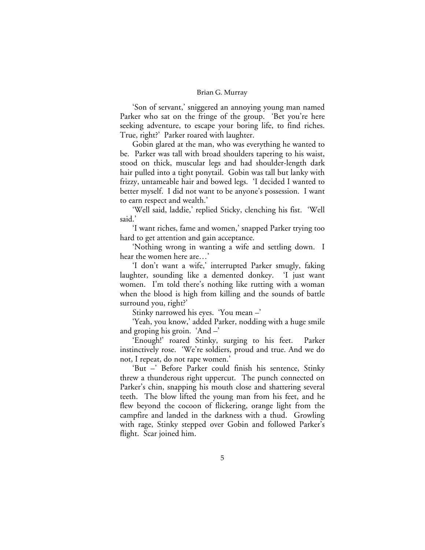'Son of servant,' sniggered an annoying young man named Parker who sat on the fringe of the group. 'Bet you're here seeking adventure, to escape your boring life, to find riches. True, right?' Parker roared with laughter.

Gobin glared at the man, who was everything he wanted to be. Parker was tall with broad shoulders tapering to his waist, stood on thick, muscular legs and had shoulder-length dark hair pulled into a tight ponytail. Gobin was tall but lanky with frizzy, untameable hair and bowed legs. 'I decided I wanted to better myself. I did not want to be anyone's possession. I want to earn respect and wealth.'

'Well said, laddie,' replied Sticky, clenching his fist. 'Well said.'

'I want riches, fame and women,' snapped Parker trying too hard to get attention and gain acceptance.

'Nothing wrong in wanting a wife and settling down. I hear the women here are…'

'I don't want a wife,' interrupted Parker smugly, faking laughter, sounding like a demented donkey. 'I just want women. I'm told there's nothing like rutting with a woman when the blood is high from killing and the sounds of battle surround you, right?'

Stinky narrowed his eyes. 'You mean –'

'Yeah, you know,' added Parker, nodding with a huge smile and groping his groin. 'And  $-$ '

'Enough!' roared Stinky, surging to his feet. Parker instinctively rose. 'We're soldiers, proud and true. And we do not, I repeat, do not rape women.'

'But –' Before Parker could finish his sentence, Stinky threw a thunderous right uppercut. The punch connected on Parker's chin, snapping his mouth close and shattering several teeth. The blow lifted the young man from his feet, and he flew beyond the cocoon of flickering, orange light from the campfire and landed in the darkness with a thud. Growling with rage, Stinky stepped over Gobin and followed Parker's flight. Scar joined him.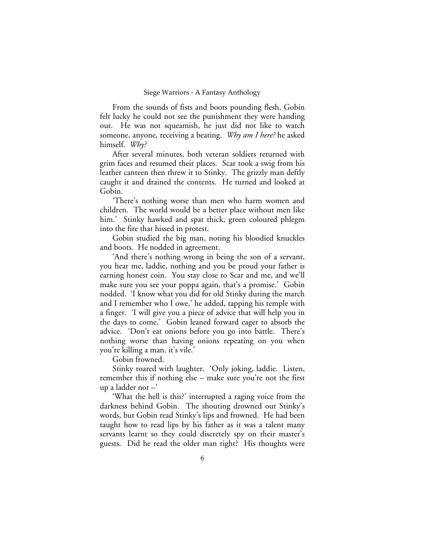From the sounds of fists and boots pounding flesh, Gobin felt lucky he could not see the punishment they were handing out. He was not squeamish, he just did not like to watch someone, anyone, receiving a beating. *Why am I here?* he asked himself. *Why?*

After several minutes, both veteran soldiers returned with grim faces and resumed their places. Scar took a swig from his leather canteen then threw it to Stinky. The grizzly man deftly caught it and drained the contents. He turned and looked at Gobin.

'There's nothing worse than men who harm women and children. The world would be a better place without men like him.' Stinky hawked and spat thick, green coloured phlegm into the fire that hissed in protest.

Gobin studied the big man, noting his bloodied knuckles and boots. He nodded in agreement.

'And there's nothing wrong in being the son of a servant, you hear me, laddie, nothing and you be proud your father is earning honest coin. You stay close to Scar and me, and we'll make sure you see your poppa again, that's a promise.' Gobin nodded. 'I know what you did for old Stinky during the march and I remember who I owe,' he added, tapping his temple with a finger. 'I will give you a piece of advice that will help you in the days to come.' Gobin leaned forward eager to absorb the advice. 'Don't eat onions before you go into battle. There's nothing worse than having onions repeating on you when you're killing a man, it's vile.'

Gobin frowned.

Stinky roared with laughter. 'Only joking, laddie. Listen, remember this if nothing else – make sure you're not the first up a ladder nor –'

'What the hell is this?' interrupted a raging voice from the darkness behind Gobin. The shouting drowned out Stinky's words, but Gobin read Stinky's lips and frowned. He had been taught how to read lips by his father as it was a talent many servants learnt so they could discretely spy on their master's guests. Did he read the older man right? His thoughts were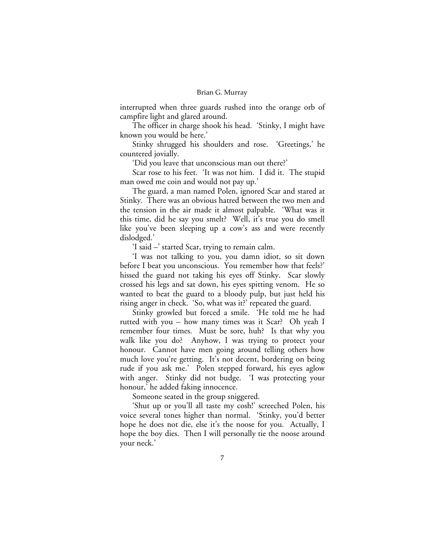interrupted when three guards rushed into the orange orb of campfire light and glared around.

The officer in charge shook his head. 'Stinky, I might have known you would be here.'

Stinky shrugged his shoulders and rose. 'Greetings,' he countered jovially.

'Did you leave that unconscious man out there?'

Scar rose to his feet. 'It was not him. I did it. The stupid man owed me coin and would not pay up.'

The guard, a man named Polen, ignored Scar and stared at Stinky. There was an obvious hatred between the two men and the tension in the air made it almost palpable. 'What was it this time, did he say you smelt? Well, it's true you do smell like you've been sleeping up a cow's ass and were recently dislodged.'

'I said –' started Scar, trying to remain calm.

'I was not talking to you, you damn idiot, so sit down before I beat you unconscious. You remember how that feels?' hissed the guard not taking his eyes off Stinky. Scar slowly crossed his legs and sat down, his eyes spitting venom. He so wanted to beat the guard to a bloody pulp, but just held his rising anger in check. 'So, what was it?' repeated the guard.

Stinky growled but forced a smile. 'He told me he had rutted with you – how many times was it Scar? Oh yeah I remember four times. Must be sore, huh? Is that why you walk like you do? Anyhow, I was trying to protect your honour. Cannot have men going around telling others how much love you're getting. It's not decent, bordering on being rude if you ask me.' Polen stepped forward, his eyes aglow with anger. Stinky did not budge. 'I was protecting your honour,' he added faking innocence.

Someone seated in the group sniggered.

'Shut up or you'll all taste my cosh!' screeched Polen, his voice several tones higher than normal. 'Stinky, you'd better hope he does not die, else it's the noose for you. Actually, I hope the boy dies. Then I will personally tie the noose around your neck.'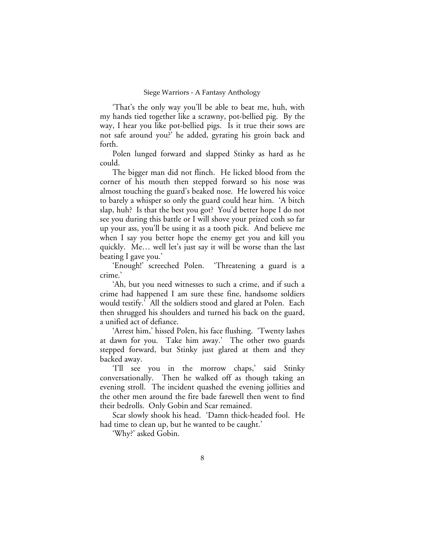'That's the only way you'll be able to beat me, huh, with my hands tied together like a scrawny, pot-bellied pig. By the way, I hear you like pot-bellied pigs. Is it true their sows are not safe around you?' he added, gyrating his groin back and forth.

Polen lunged forward and slapped Stinky as hard as he could.

The bigger man did not flinch. He licked blood from the corner of his mouth then stepped forward so his nose was almost touching the guard's beaked nose. He lowered his voice to barely a whisper so only the guard could hear him. 'A bitch slap, huh? Is that the best you got? You'd better hope I do not see you during this battle or I will shove your prized cosh so far up your ass, you'll be using it as a tooth pick. And believe me when I say you better hope the enemy get you and kill you quickly. Me… well let's just say it will be worse than the last beating I gave you.'

'Enough!' screeched Polen. 'Threatening a guard is a crime.'

'Ah, but you need witnesses to such a crime, and if such a crime had happened I am sure these fine, handsome soldiers would testify.' All the soldiers stood and glared at Polen. Each then shrugged his shoulders and turned his back on the guard, a unified act of defiance.

'Arrest him,' hissed Polen, his face flushing. 'Twenty lashes at dawn for you. Take him away.' The other two guards stepped forward, but Stinky just glared at them and they backed away.

'I'll see you in the morrow chaps,' said Stinky conversationally. Then he walked off as though taking an evening stroll. The incident quashed the evening jollities and the other men around the fire bade farewell then went to find their bedrolls. Only Gobin and Scar remained.

Scar slowly shook his head. 'Damn thick-headed fool. He had time to clean up, but he wanted to be caught.'

'Why?' asked Gobin.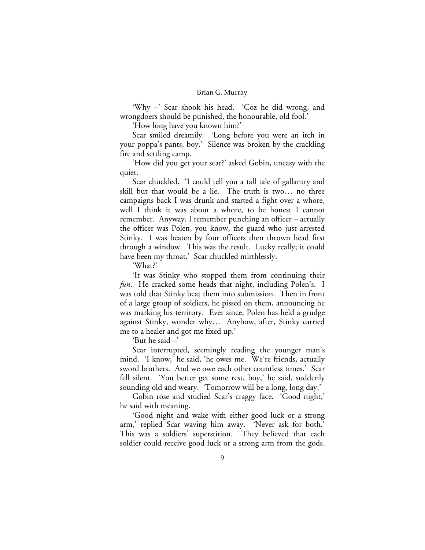'Why –' Scar shook his head. 'Coz he did wrong, and wrongdoers should be punished, the honourable, old fool.'

'How long have you known him?'

Scar smiled dreamily. 'Long before you were an itch in your poppa's pants, boy.' Silence was broken by the crackling fire and settling camp.

'How did you get your scar?' asked Gobin, uneasy with the quiet.

Scar chuckled. 'I could tell you a tall tale of gallantry and skill but that would be a lie. The truth is two… no three campaigns back I was drunk and started a fight over a whore, well I think it was about a whore, to be honest I cannot remember. Anyway, I remember punching an officer – actually the officer was Polen, you know, the guard who just arrested Stinky. I was beaten by four officers then thrown head first through a window. This was the result. Lucky really; it could have been my throat.' Scar chuckled mirthlessly.

'What?'

'It was Stinky who stopped them from continuing their *fun*. He cracked some heads that night, including Polen's. I was told that Stinky beat them into submission. Then in front of a large group of soldiers, he pissed on them, announcing he was marking his territory. Ever since, Polen has held a grudge against Stinky, wonder why… Anyhow, after, Stinky carried me to a healer and got me fixed up.'

'But he said –'

Scar interrupted, seemingly reading the younger man's mind. 'I know,' he said, 'he owes me. We're friends, actually sword brothers. And we owe each other countless times.' Scar fell silent. 'You better get some rest, boy,' he said, suddenly sounding old and weary. 'Tomorrow will be a long, long day.'

Gobin rose and studied Scar's craggy face. 'Good night,' he said with meaning.

'Good night and wake with either good luck or a strong arm,' replied Scar waving him away. 'Never ask for both.' This was a soldiers' superstition. They believed that each soldier could receive good luck or a strong arm from the gods.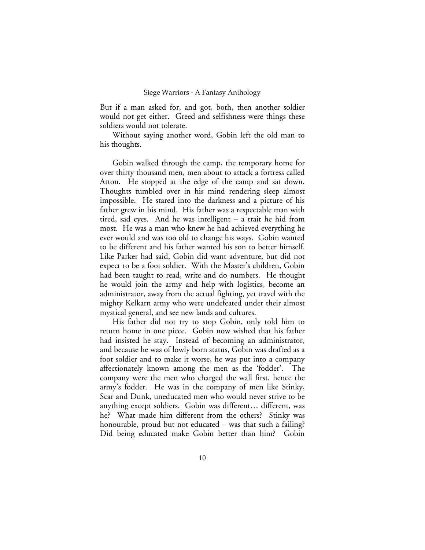But if a man asked for, and got, both, then another soldier would not get either. Greed and selfishness were things these soldiers would not tolerate.

Without saying another word, Gobin left the old man to his thoughts.

Gobin walked through the camp, the temporary home for over thirty thousand men, men about to attack a fortress called Atton. He stopped at the edge of the camp and sat down. Thoughts tumbled over in his mind rendering sleep almost impossible. He stared into the darkness and a picture of his father grew in his mind. His father was a respectable man with tired, sad eyes. And he was intelligent – a trait he hid from most. He was a man who knew he had achieved everything he ever would and was too old to change his ways. Gobin wanted to be different and his father wanted his son to better himself. Like Parker had said, Gobin did want adventure, but did not expect to be a foot soldier. With the Master's children, Gobin had been taught to read, write and do numbers. He thought he would join the army and help with logistics, become an administrator, away from the actual fighting, yet travel with the mighty Kelkarn army who were undefeated under their almost mystical general, and see new lands and cultures.

His father did not try to stop Gobin, only told him to return home in one piece. Gobin now wished that his father had insisted he stay. Instead of becoming an administrator, and because he was of lowly born status, Gobin was drafted as a foot soldier and to make it worse, he was put into a company affectionately known among the men as the 'fodder'. The company were the men who charged the wall first, hence the army's fodder. He was in the company of men like Stinky, Scar and Dunk, uneducated men who would never strive to be anything except soldiers. Gobin was different… different, was he? What made him different from the others? Stinky was honourable, proud but not educated – was that such a failing? Did being educated make Gobin better than him? Gobin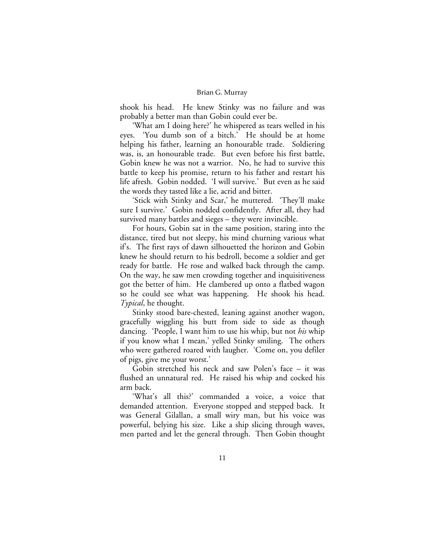shook his head. He knew Stinky was no failure and was probably a better man than Gobin could ever be.

'What am I doing here?' he whispered as tears welled in his eyes. 'You dumb son of a bitch.' He should be at home helping his father, learning an honourable trade. Soldiering was, is, an honourable trade. But even before his first battle, Gobin knew he was not a warrior. No, he had to survive this battle to keep his promise, return to his father and restart his life afresh. Gobin nodded. 'I will survive.' But even as he said the words they tasted like a lie, acrid and bitter.

'Stick with Stinky and Scar,' he muttered. 'They'll make sure I survive.' Gobin nodded confidently. After all, they had survived many battles and sieges – they were invincible.

For hours, Gobin sat in the same position, staring into the distance, tired but not sleepy, his mind churning various what if's. The first rays of dawn silhouetted the horizon and Gobin knew he should return to his bedroll, become a soldier and get ready for battle. He rose and walked back through the camp. On the way, he saw men crowding together and inquisitiveness got the better of him. He clambered up onto a flatbed wagon so he could see what was happening. He shook his head. *Typical*, he thought.

Stinky stood bare-chested, leaning against another wagon, gracefully wiggling his butt from side to side as though dancing. 'People, I want him to use his whip, but not *his* whip if you know what I mean,' yelled Stinky smiling. The others who were gathered roared with laugher. 'Come on, you defiler of pigs, give me your worst.'

Gobin stretched his neck and saw Polen's face – it was flushed an unnatural red. He raised his whip and cocked his arm back.

'What's all this?' commanded a voice, a voice that demanded attention. Everyone stopped and stepped back. It was General Gilallan, a small wiry man, but his voice was powerful, belying his size. Like a ship slicing through waves, men parted and let the general through. Then Gobin thought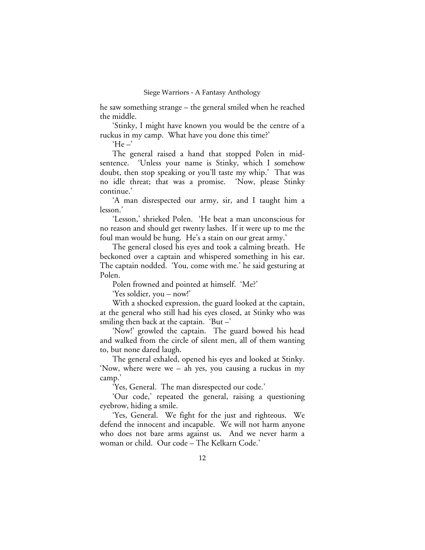he saw something strange – the general smiled when he reached the middle.

'Stinky, I might have known you would be the centre of a ruckus in my camp. What have you done this time?'

 $He -$ 

The general raised a hand that stopped Polen in midsentence. 'Unless your name is Stinky, which I somehow doubt, then stop speaking or you'll taste my whip.' That was no idle threat; that was a promise. 'Now, please Stinky continue.'

'A man disrespected our army, sir, and I taught him a lesson.'

'Lesson,' shrieked Polen. 'He beat a man unconscious for no reason and should get twenty lashes. If it were up to me the foul man would be hung. He's a stain on our great army.'

The general closed his eyes and took a calming breath. He beckoned over a captain and whispered something in his ear. The captain nodded. 'You, come with me.' he said gesturing at Polen.

Polen frowned and pointed at himself. 'Me?'

'Yes soldier, you – now!'

With a shocked expression, the guard looked at the captain, at the general who still had his eyes closed, at Stinky who was smiling then back at the captain. 'But  $-$ '

'Now!' growled the captain. The guard bowed his head and walked from the circle of silent men, all of them wanting to, but none dared laugh.

The general exhaled, opened his eyes and looked at Stinky. 'Now, where were we – ah yes, you causing a ruckus in my camp.'

'Yes, General. The man disrespected our code.'

'Our code,' repeated the general, raising a questioning eyebrow, hiding a smile.

'Yes, General. We fight for the just and righteous. We defend the innocent and incapable. We will not harm anyone who does not bare arms against us. And we never harm a woman or child. Our code – The Kelkarn Code.'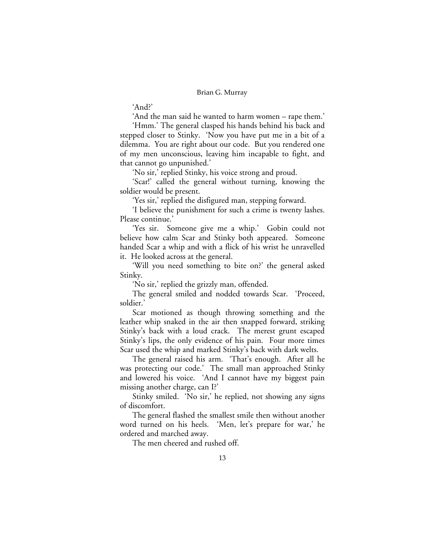'And?'

'And the man said he wanted to harm women – rape them.'

'Hmm.' The general clasped his hands behind his back and stepped closer to Stinky. 'Now you have put me in a bit of a dilemma. You are right about our code. But you rendered one of my men unconscious, leaving him incapable to fight, and that cannot go unpunished.'

'No sir,' replied Stinky, his voice strong and proud.

'Scar!' called the general without turning, knowing the soldier would be present.

'Yes sir,' replied the disfigured man, stepping forward.

'I believe the punishment for such a crime is twenty lashes. Please continue.'

'Yes sir. Someone give me a whip.' Gobin could not believe how calm Scar and Stinky both appeared. Someone handed Scar a whip and with a flick of his wrist he unravelled it. He looked across at the general.

'Will you need something to bite on?' the general asked Stinky.

'No sir,' replied the grizzly man, offended.

The general smiled and nodded towards Scar. 'Proceed, soldier.'

Scar motioned as though throwing something and the leather whip snaked in the air then snapped forward, striking Stinky's back with a loud crack. The merest grunt escaped Stinky's lips, the only evidence of his pain. Four more times Scar used the whip and marked Stinky's back with dark welts.

The general raised his arm. 'That's enough. After all he was protecting our code.' The small man approached Stinky and lowered his voice. 'And I cannot have my biggest pain missing another charge, can I?'

Stinky smiled. 'No sir,' he replied, not showing any signs of discomfort.

The general flashed the smallest smile then without another word turned on his heels. 'Men, let's prepare for war,' he ordered and marched away.

The men cheered and rushed off.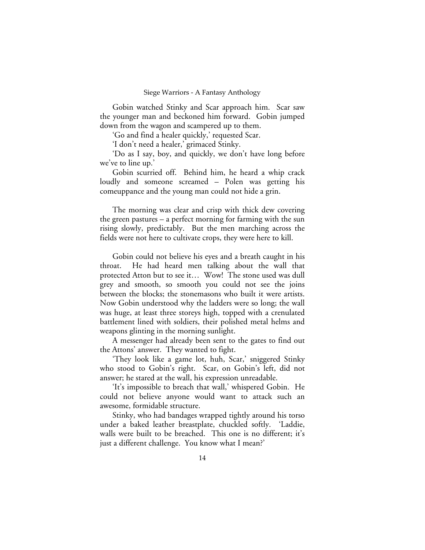Gobin watched Stinky and Scar approach him. Scar saw the younger man and beckoned him forward. Gobin jumped down from the wagon and scampered up to them.

'Go and find a healer quickly,' requested Scar.

'I don't need a healer,' grimaced Stinky.

'Do as I say, boy, and quickly, we don't have long before we've to line up.'

Gobin scurried off. Behind him, he heard a whip crack loudly and someone screamed – Polen was getting his comeuppance and the young man could not hide a grin.

The morning was clear and crisp with thick dew covering the green pastures – a perfect morning for farming with the sun rising slowly, predictably. But the men marching across the fields were not here to cultivate crops, they were here to kill.

Gobin could not believe his eyes and a breath caught in his throat. He had heard men talking about the wall that protected Atton but to see it… Wow! The stone used was dull grey and smooth, so smooth you could not see the joins between the blocks; the stonemasons who built it were artists. Now Gobin understood why the ladders were so long; the wall was huge, at least three storeys high, topped with a crenulated battlement lined with soldiers, their polished metal helms and weapons glinting in the morning sunlight.

A messenger had already been sent to the gates to find out the Attons' answer. They wanted to fight.

'They look like a game lot, huh, Scar,' sniggered Stinky who stood to Gobin's right. Scar, on Gobin's left, did not answer; he stared at the wall, his expression unreadable.

'It's impossible to breach that wall,' whispered Gobin. He could not believe anyone would want to attack such an awesome, formidable structure.

Stinky, who had bandages wrapped tightly around his torso under a baked leather breastplate, chuckled softly. 'Laddie, walls were built to be breached. This one is no different; it's just a different challenge. You know what I mean?'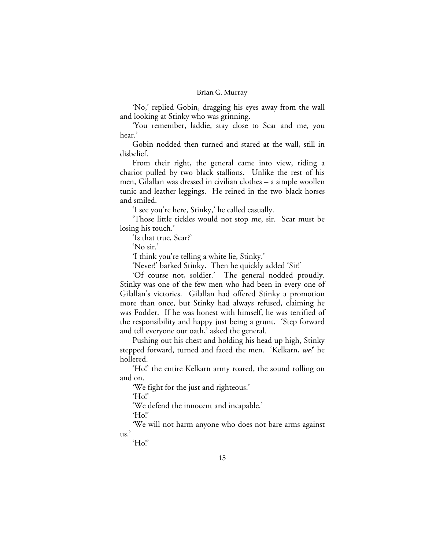'No,' replied Gobin, dragging his eyes away from the wall and looking at Stinky who was grinning.

'You remember, laddie, stay close to Scar and me, you hear.'

Gobin nodded then turned and stared at the wall, still in disbelief.

From their right, the general came into view, riding a chariot pulled by two black stallions. Unlike the rest of his men, Gilallan was dressed in civilian clothes – a simple woollen tunic and leather leggings. He reined in the two black horses and smiled.

'I see you're here, Stinky,' he called casually.

'Those little tickles would not stop me, sir. Scar must be losing his touch.'

'Is that true, Scar?'

'No sir.'

'I think you're telling a white lie, Stinky.'

'Never!' barked Stinky. Then he quickly added 'Sir!'

'Of course not, soldier.' The general nodded proudly. Stinky was one of the few men who had been in every one of Gilallan's victories. Gilallan had offered Stinky a promotion more than once, but Stinky had always refused, claiming he was Fodder. If he was honest with himself, he was terrified of the responsibility and happy just being a grunt. 'Step forward and tell everyone our oath,' asked the general.

Pushing out his chest and holding his head up high, Stinky stepped forward, turned and faced the men. 'Kelkarn, *we!*' he hollered.

'Ho!' the entire Kelkarn army roared, the sound rolling on and on.

'We fight for the just and righteous.'

'Ho!'

'We defend the innocent and incapable.'

'Ho!'

'We will not harm anyone who does not bare arms against us.'

'Ho!'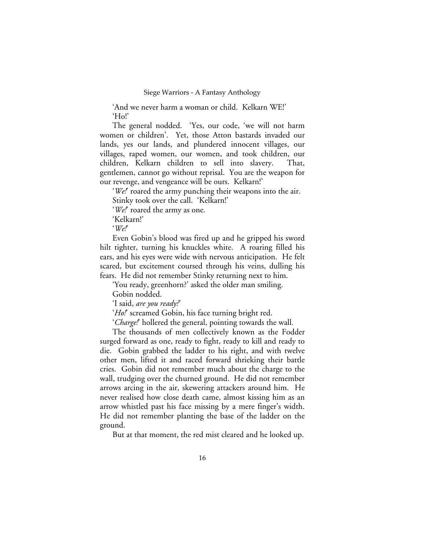'And we never harm a woman or child. Kelkarn WE!' 'Ho!'

The general nodded. 'Yes, our code, 'we will not harm women or children'. Yet, those Atton bastards invaded our lands, yes our lands, and plundered innocent villages, our villages, raped women, our women, and took children, our children, Kelkarn children to sell into slavery. That, gentlemen, cannot go without reprisal. You are the weapon for our revenge, and vengeance will be ours. Kelkarn!'

'*We!*' roared the army punching their weapons into the air. Stinky took over the call. 'Kelkarn!'

'*We!*' roared the army as one.

'Kelkarn!'

'*We!*'

Even Gobin's blood was fired up and he gripped his sword hilt tighter, turning his knuckles white. A roaring filled his ears, and his eyes were wide with nervous anticipation. He felt scared, but excitement coursed through his veins, dulling his fears. He did not remember Stinky returning next to him.

'You ready, greenhorn?' asked the older man smiling.

Gobin nodded.

'I said, *are you ready?*'

'Ho!' screamed Gobin, his face turning bright red.

'*Charge!*' hollered the general, pointing towards the wall.

The thousands of men collectively known as the Fodder surged forward as one, ready to fight, ready to kill and ready to die. Gobin grabbed the ladder to his right, and with twelve other men, lifted it and raced forward shrieking their battle cries. Gobin did not remember much about the charge to the wall, trudging over the churned ground. He did not remember arrows arcing in the air, skewering attackers around him. He never realised how close death came, almost kissing him as an arrow whistled past his face missing by a mere finger's width. He did not remember planting the base of the ladder on the ground.

But at that moment, the red mist cleared and he looked up.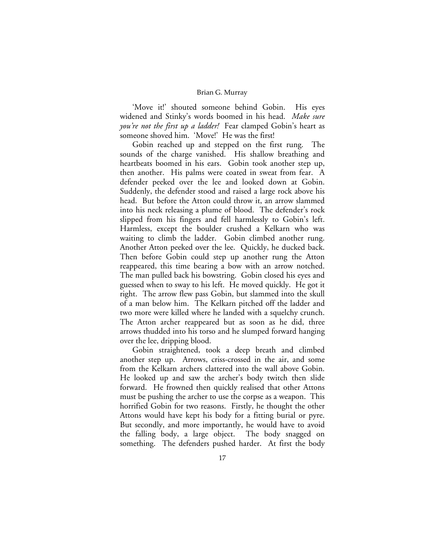'Move it!' shouted someone behind Gobin. His eyes widened and Stinky's words boomed in his head. *Make sure you're not the first up a ladder!* Fear clamped Gobin's heart as someone shoved him. 'Move!' He was the first!

Gobin reached up and stepped on the first rung. The sounds of the charge vanished. His shallow breathing and heartbeats boomed in his ears. Gobin took another step up, then another. His palms were coated in sweat from fear. A defender peeked over the lee and looked down at Gobin. Suddenly, the defender stood and raised a large rock above his head. But before the Atton could throw it, an arrow slammed into his neck releasing a plume of blood. The defender's rock slipped from his fingers and fell harmlessly to Gobin's left. Harmless, except the boulder crushed a Kelkarn who was waiting to climb the ladder. Gobin climbed another rung. Another Atton peeked over the lee. Quickly, he ducked back. Then before Gobin could step up another rung the Atton reappeared, this time bearing a bow with an arrow notched. The man pulled back his bowstring. Gobin closed his eyes and guessed when to sway to his left. He moved quickly. He got it right. The arrow flew pass Gobin, but slammed into the skull of a man below him. The Kelkarn pitched off the ladder and two more were killed where he landed with a squelchy crunch. The Atton archer reappeared but as soon as he did, three arrows thudded into his torso and he slumped forward hanging over the lee, dripping blood.

Gobin straightened, took a deep breath and climbed another step up. Arrows, criss-crossed in the air, and some from the Kelkarn archers clattered into the wall above Gobin. He looked up and saw the archer's body twitch then slide forward. He frowned then quickly realised that other Attons must be pushing the archer to use the corpse as a weapon. This horrified Gobin for two reasons. Firstly, he thought the other Attons would have kept his body for a fitting burial or pyre. But secondly, and more importantly, he would have to avoid the falling body, a large object. The body snagged on something. The defenders pushed harder. At first the body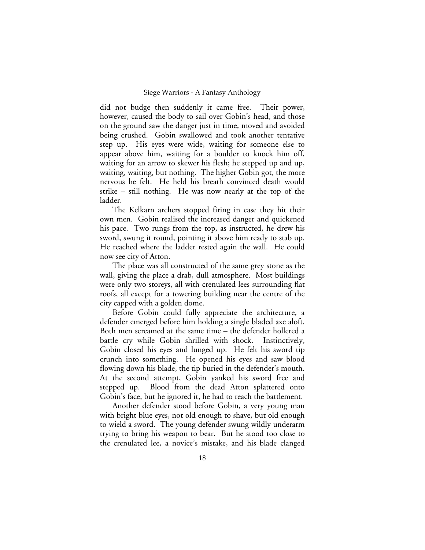did not budge then suddenly it came free. Their power, however, caused the body to sail over Gobin's head, and those on the ground saw the danger just in time, moved and avoided being crushed. Gobin swallowed and took another tentative step up. His eyes were wide, waiting for someone else to appear above him, waiting for a boulder to knock him off, waiting for an arrow to skewer his flesh; he stepped up and up, waiting, waiting, but nothing. The higher Gobin got, the more nervous he felt. He held his breath convinced death would strike – still nothing. He was now nearly at the top of the ladder.

The Kelkarn archers stopped firing in case they hit their own men. Gobin realised the increased danger and quickened his pace. Two rungs from the top, as instructed, he drew his sword, swung it round, pointing it above him ready to stab up. He reached where the ladder rested again the wall. He could now see city of Atton.

The place was all constructed of the same grey stone as the wall, giving the place a drab, dull atmosphere. Most buildings were only two storeys, all with crenulated lees surrounding flat roofs, all except for a towering building near the centre of the city capped with a golden dome.

Before Gobin could fully appreciate the architecture, a defender emerged before him holding a single bladed axe aloft. Both men screamed at the same time – the defender hollered a battle cry while Gobin shrilled with shock. Instinctively, Gobin closed his eyes and lunged up. He felt his sword tip crunch into something. He opened his eyes and saw blood flowing down his blade, the tip buried in the defender's mouth. At the second attempt, Gobin yanked his sword free and stepped up. Blood from the dead Atton splattered onto Gobin's face, but he ignored it, he had to reach the battlement.

Another defender stood before Gobin, a very young man with bright blue eyes, not old enough to shave, but old enough to wield a sword. The young defender swung wildly underarm trying to bring his weapon to bear. But he stood too close to the crenulated lee, a novice's mistake, and his blade clanged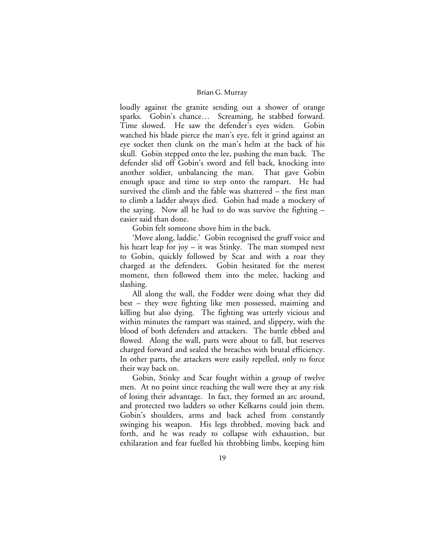loudly against the granite sending out a shower of orange sparks. Gobin's chance… Screaming, he stabbed forward. Time slowed. He saw the defender's eyes widen. Gobin watched his blade pierce the man's eye, felt it grind against an eye socket then clunk on the man's helm at the back of his skull. Gobin stepped onto the lee, pushing the man back. The defender slid off Gobin's sword and fell back, knocking into another soldier, unbalancing the man. That gave Gobin enough space and time to step onto the rampart. He had survived the climb and the fable was shattered – the first man to climb a ladder always died. Gobin had made a mockery of the saying. Now all he had to do was survive the fighting – easier said than done.

Gobin felt someone shove him in the back.

'Move along, laddie.' Gobin recognised the gruff voice and his heart leap for joy – it was Stinky. The man stomped next to Gobin, quickly followed by Scar and with a roar they charged at the defenders. Gobin hesitated for the merest moment, then followed them into the melee, hacking and slashing.

All along the wall, the Fodder were doing what they did best – they were fighting like men possessed, maiming and killing but also dying. The fighting was utterly vicious and within minutes the rampart was stained, and slippery, with the blood of both defenders and attackers. The battle ebbed and flowed. Along the wall, parts were about to fall, but reserves charged forward and sealed the breaches with brutal efficiency. In other parts, the attackers were easily repelled, only to force their way back on.

Gobin, Stinky and Scar fought within a group of twelve men. At no point since reaching the wall were they at any risk of losing their advantage. In fact, they formed an arc around, and protected two ladders so other Kelkarns could join them. Gobin's shoulders, arms and back ached from constantly swinging his weapon. His legs throbbed, moving back and forth, and he was ready to collapse with exhaustion, but exhilaration and fear fuelled his throbbing limbs, keeping him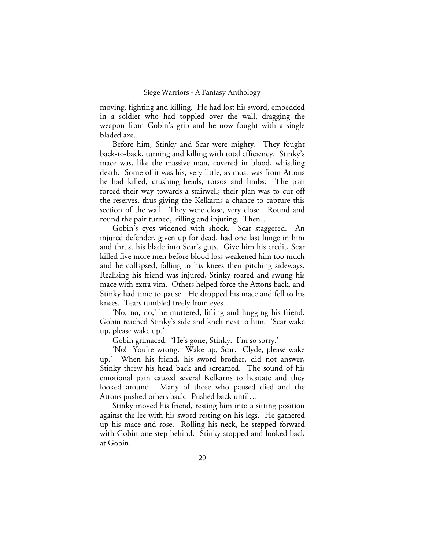moving, fighting and killing. He had lost his sword, embedded in a soldier who had toppled over the wall, dragging the weapon from Gobin's grip and he now fought with a single bladed axe.

Before him, Stinky and Scar were mighty. They fought back-to-back, turning and killing with total efficiency. Stinky's mace was, like the massive man, covered in blood, whistling death. Some of it was his, very little, as most was from Attons he had killed, crushing heads, torsos and limbs. The pair forced their way towards a stairwell; their plan was to cut off the reserves, thus giving the Kelkarns a chance to capture this section of the wall. They were close, very close. Round and round the pair turned, killing and injuring. Then…

Gobin's eyes widened with shock. Scar staggered. An injured defender, given up for dead, had one last lunge in him and thrust his blade into Scar's guts. Give him his credit, Scar killed five more men before blood loss weakened him too much and he collapsed, falling to his knees then pitching sideways. Realising his friend was injured, Stinky roared and swung his mace with extra vim. Others helped force the Attons back, and Stinky had time to pause. He dropped his mace and fell to his knees. Tears tumbled freely from eyes.

'No, no, no,' he muttered, lifting and hugging his friend. Gobin reached Stinky's side and knelt next to him. 'Scar wake up, please wake up.'

Gobin grimaced. 'He's gone, Stinky. I'm so sorry.'

'No! You're wrong. Wake up, Scar. Clyde, please wake up.' When his friend, his sword brother, did not answer, Stinky threw his head back and screamed. The sound of his emotional pain caused several Kelkarns to hesitate and they looked around. Many of those who paused died and the Attons pushed others back. Pushed back until…

Stinky moved his friend, resting him into a sitting position against the lee with his sword resting on his legs. He gathered up his mace and rose. Rolling his neck, he stepped forward with Gobin one step behind. Stinky stopped and looked back at Gobin.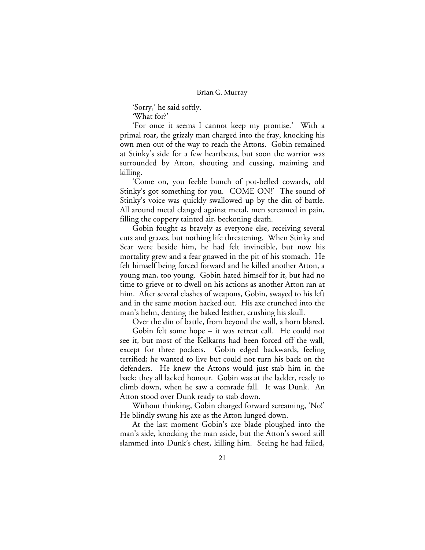'Sorry,' he said softly. 'What for?'

'For once it seems I cannot keep my promise.' With a primal roar, the grizzly man charged into the fray, knocking his own men out of the way to reach the Attons. Gobin remained at Stinky's side for a few heartbeats, but soon the warrior was surrounded by Atton, shouting and cussing, maiming and killing.

'Come on, you feeble bunch of pot-belled cowards, old Stinky's got something for you. COME ON!' The sound of Stinky's voice was quickly swallowed up by the din of battle. All around metal clanged against metal, men screamed in pain, filling the coppery tainted air, beckoning death.

Gobin fought as bravely as everyone else, receiving several cuts and grazes, but nothing life threatening. When Stinky and Scar were beside him, he had felt invincible, but now his mortality grew and a fear gnawed in the pit of his stomach. He felt himself being forced forward and he killed another Atton, a young man, too young. Gobin hated himself for it, but had no time to grieve or to dwell on his actions as another Atton ran at him. After several clashes of weapons, Gobin, swayed to his left and in the same motion hacked out. His axe crunched into the man's helm, denting the baked leather, crushing his skull.

Over the din of battle, from beyond the wall, a horn blared.

Gobin felt some hope – it was retreat call. He could not see it, but most of the Kelkarns had been forced off the wall, except for three pockets. Gobin edged backwards, feeling terrified; he wanted to live but could not turn his back on the defenders. He knew the Attons would just stab him in the back; they all lacked honour. Gobin was at the ladder, ready to climb down, when he saw a comrade fall. It was Dunk. An Atton stood over Dunk ready to stab down.

Without thinking, Gobin charged forward screaming, 'No!' He blindly swung his axe as the Atton lunged down.

At the last moment Gobin's axe blade ploughed into the man's side, knocking the man aside, but the Atton's sword still slammed into Dunk's chest, killing him. Seeing he had failed,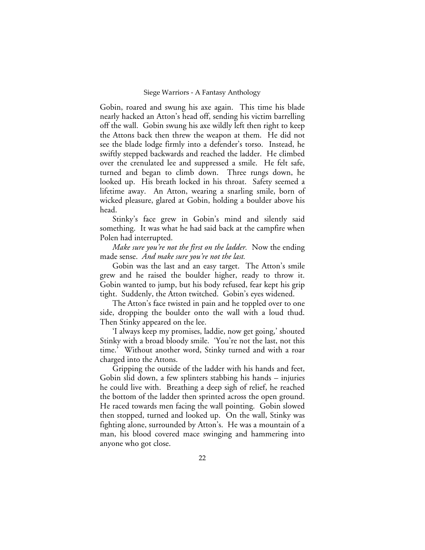Gobin, roared and swung his axe again. This time his blade nearly hacked an Atton's head off, sending his victim barrelling off the wall. Gobin swung his axe wildly left then right to keep the Attons back then threw the weapon at them. He did not see the blade lodge firmly into a defender's torso. Instead, he swiftly stepped backwards and reached the ladder. He climbed over the crenulated lee and suppressed a smile. He felt safe, turned and began to climb down. Three rungs down, he looked up. His breath locked in his throat. Safety seemed a lifetime away. An Atton, wearing a snarling smile, born of wicked pleasure, glared at Gobin, holding a boulder above his head.

Stinky's face grew in Gobin's mind and silently said something. It was what he had said back at the campfire when Polen had interrupted.

*Make sure you're not the first on the ladder.* Now the ending made sense. *And make sure you're not the last.*

Gobin was the last and an easy target. The Atton's smile grew and he raised the boulder higher, ready to throw it. Gobin wanted to jump, but his body refused, fear kept his grip tight. Suddenly, the Atton twitched. Gobin's eyes widened.

The Atton's face twisted in pain and he toppled over to one side, dropping the boulder onto the wall with a loud thud. Then Stinky appeared on the lee.

'I always keep my promises, laddie, now get going,' shouted Stinky with a broad bloody smile. 'You're not the last, not this time.' Without another word, Stinky turned and with a roar charged into the Attons.

Gripping the outside of the ladder with his hands and feet, Gobin slid down, a few splinters stabbing his hands – injuries he could live with. Breathing a deep sigh of relief, he reached the bottom of the ladder then sprinted across the open ground. He raced towards men facing the wall pointing. Gobin slowed then stopped, turned and looked up. On the wall, Stinky was fighting alone, surrounded by Atton's. He was a mountain of a man, his blood covered mace swinging and hammering into anyone who got close.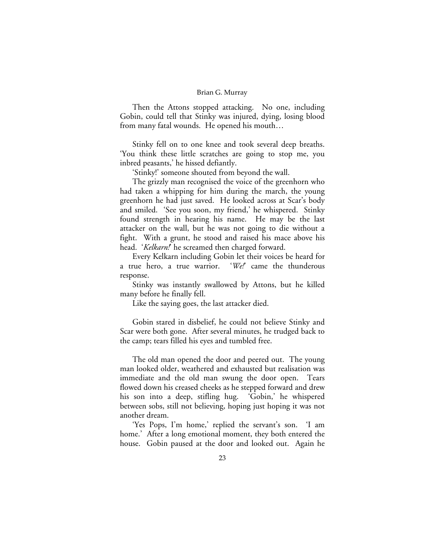Then the Attons stopped attacking. No one, including Gobin, could tell that Stinky was injured, dying, losing blood from many fatal wounds. He opened his mouth…

Stinky fell on to one knee and took several deep breaths. 'You think these little scratches are going to stop me, you inbred peasants,' he hissed defiantly.

'Stinky!' someone shouted from beyond the wall.

The grizzly man recognised the voice of the greenhorn who had taken a whipping for him during the march, the young greenhorn he had just saved. He looked across at Scar's body and smiled. 'See you soon, my friend,' he whispered. Stinky found strength in hearing his name. He may be the last attacker on the wall, but he was not going to die without a fight. With a grunt, he stood and raised his mace above his head. '*Kelkarn!*' he screamed then charged forward.

Every Kelkarn including Gobin let their voices be heard for a true hero, a true warrior. '*We!*' came the thunderous response.

Stinky was instantly swallowed by Attons, but he killed many before he finally fell.

Like the saying goes, the last attacker died.

Gobin stared in disbelief, he could not believe Stinky and Scar were both gone. After several minutes, he trudged back to the camp; tears filled his eyes and tumbled free.

The old man opened the door and peered out. The young man looked older, weathered and exhausted but realisation was immediate and the old man swung the door open. Tears flowed down his creased cheeks as he stepped forward and drew his son into a deep, stifling hug. 'Gobin,' he whispered between sobs, still not believing, hoping just hoping it was not another dream.

'Yes Pops, I'm home,' replied the servant's son. 'I am home.' After a long emotional moment, they both entered the house. Gobin paused at the door and looked out. Again he